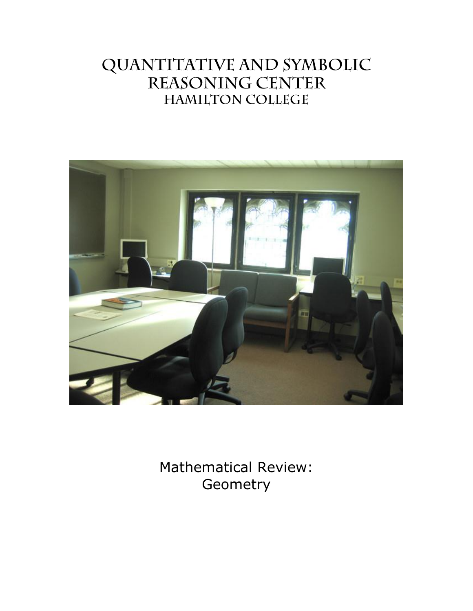# QUANTITATIVE AND SYMBOLIC REASONING CENTER **HAMILTON COLLEGE**



Mathematical Review: **Geometry**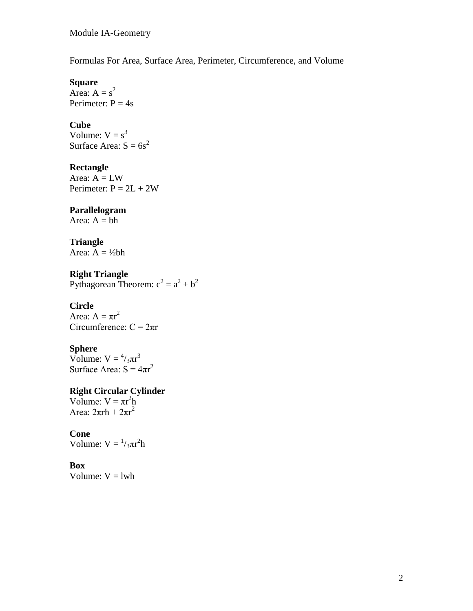## Formulas For Area, Surface Area, Perimeter, Circumference, and Volume

## **Square**

Area:  $A = s^2$ Perimeter:  $P = 4s$ 

#### **Cube**

Volume:  $V = s^3$ Surface Area:  $S = 6s^2$ 

#### **Rectangle**

Area:  $A = LW$ Perimeter:  $P = 2L + 2W$ 

#### **Parallelogram**

Area:  $A = bh$ 

### **Triangle**

Area:  $A = \frac{1}{2}bh$ 

**Right Triangle** Pythagorean Theorem:  $c^2 = a^2 + b^2$ 

## **Circle**

Area:  $A = \pi r^2$ Circumference:  $C = 2\pi r$ 

## **Sphere**

Volume:  $V = \frac{4}{3}\pi r^3$ Surface Area:  $S = 4πr^2$ 

#### **Right Circular Cylinder**

Volume:  $V = \pi r^2 h$ Area:  $2\pi$ rh +  $2\pi$ r<sup>2</sup>

## **Cone**

Volume:  $V = \frac{1}{3}\pi r^2 h$ 

#### **Box**

Volume:  $V = lwh$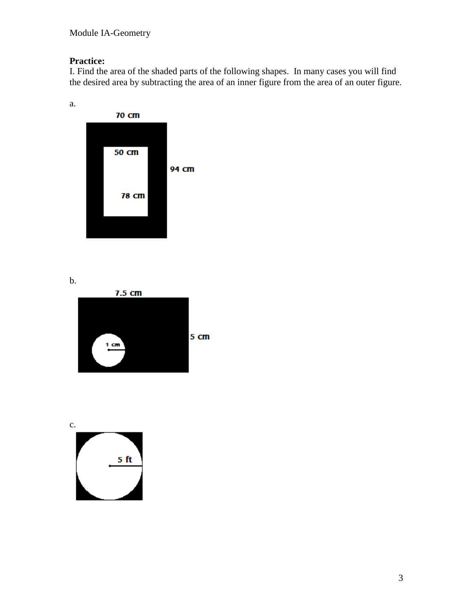## **Practice:**

I. Find the area of the shaded parts of the following shapes. In many cases you will find the desired area by subtracting the area of an inner figure from the area of an outer figure.



b.



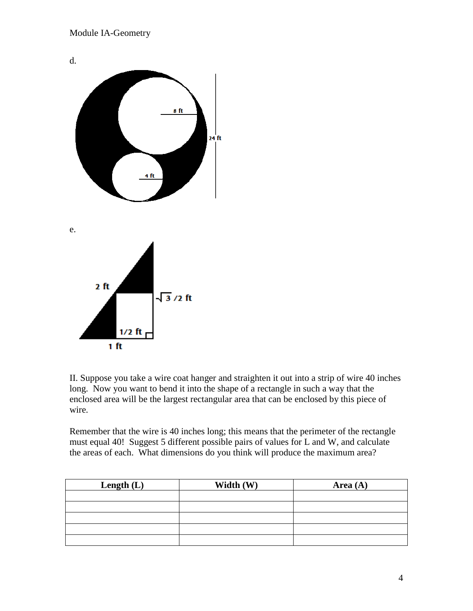

II. Suppose you take a wire coat hanger and straighten it out into a strip of wire 40 inches long. Now you want to bend it into the shape of a rectangle in such a way that the enclosed area will be the largest rectangular area that can be enclosed by this piece of wire.

Remember that the wire is 40 inches long; this means that the perimeter of the rectangle must equal 40! Suggest 5 different possible pairs of values for L and W, and calculate the areas of each. What dimensions do you think will produce the maximum area?

| Length $(L)$ | Width (W) | Area $(A)$ |
|--------------|-----------|------------|
|              |           |            |
|              |           |            |
|              |           |            |
|              |           |            |
|              |           |            |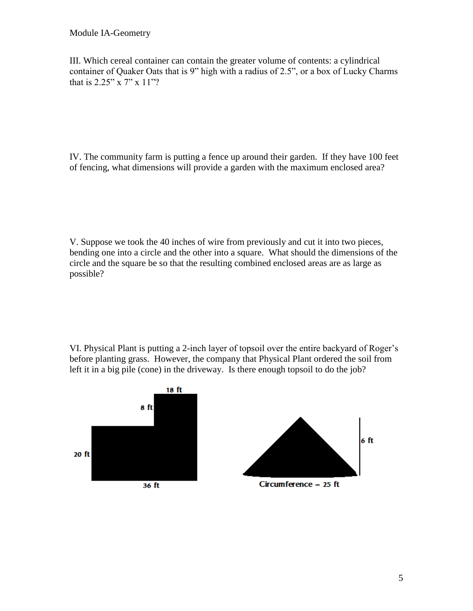#### Module IA-Geometry

III. Which cereal container can contain the greater volume of contents: a cylindrical container of Quaker Oats that is 9" high with a radius of 2.5", or a box of Lucky Charms that is 2.25" x 7" x 11"?

IV. The community farm is putting a fence up around their garden. If they have 100 feet of fencing, what dimensions will provide a garden with the maximum enclosed area?

V. Suppose we took the 40 inches of wire from previously and cut it into two pieces, bending one into a circle and the other into a square. What should the dimensions of the circle and the square be so that the resulting combined enclosed areas are as large as possible?

VI. Physical Plant is putting a 2-inch layer of topsoil over the entire backyard of Roger's before planting grass. However, the company that Physical Plant ordered the soil from left it in a big pile (cone) in the driveway. Is there enough topsoil to do the job?